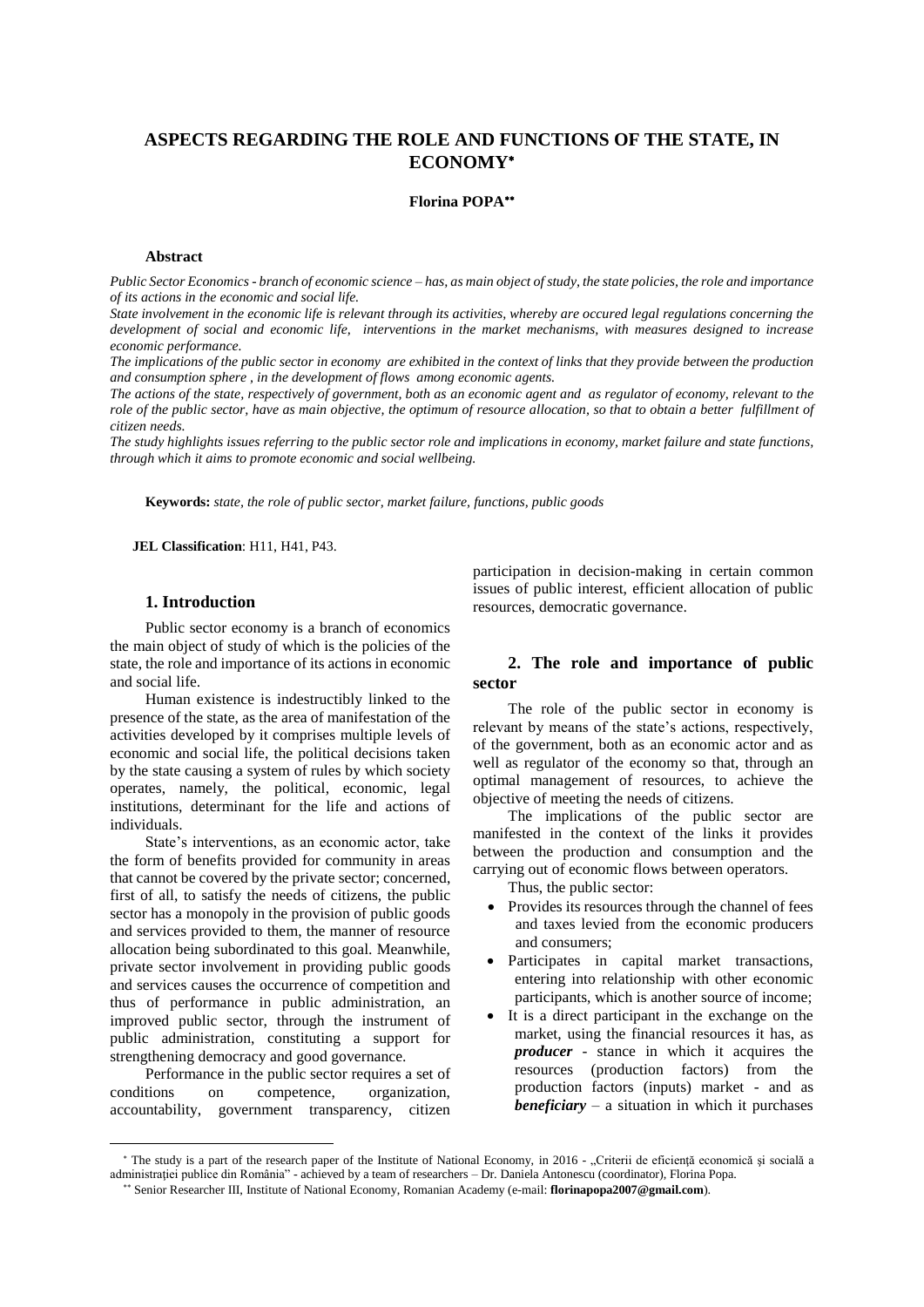# **ASPECTS REGARDING THE ROLE AND FUNCTIONS OF THE STATE, IN ECONOMY**

## **Florina POPA**

#### **Abstract**

*Public Sector Economics - branch of economic science – has, as main object of study, the state policies, the role and importance of its actions in the economic and social life.* 

*State involvement in the economic life is relevant through its activities, whereby are occured legal regulations concerning the development of social and economic life, interventions in the market mechanisms, with measures designed to increase economic performance.* 

*The implications of the public sector in economy are exhibited in the context of links that they provide between the production and consumption sphere , in the development of flows among economic agents.* 

*The actions of the state, respectively of government, both as an economic agent and as regulator of economy, relevant to the role of the public sector, have as main objective, the optimum of resource allocation, so that to obtain a better fulfillment of citizen needs.* 

*The study highlights issues referring to the public sector role and implications in economy, market failure and state functions, through which it aims to promote economic and social wellbeing.* 

**Keywords:** *state, the role of public sector, market failure, functions, public goods* 

**JEL Classification**: H11, H41, P43.

## **1. Introduction**

Public sector economy is a branch of economics the main object of study of which is the policies of the state, the role and importance of its actions in economic and social life.

Human existence is indestructibly linked to the presence of the state, as the area of manifestation of the activities developed by it comprises multiple levels of economic and social life, the political decisions taken by the state causing a system of rules by which society operates, namely, the political, economic, legal institutions, determinant for the life and actions of individuals.

State's interventions, as an economic actor, take the form of benefits provided for community in areas that cannot be covered by the private sector; concerned, first of all, to satisfy the needs of citizens, the public sector has a monopoly in the provision of public goods and services provided to them, the manner of resource allocation being subordinated to this goal. Meanwhile, private sector involvement in providing public goods and services causes the occurrence of competition and thus of performance in public administration, an improved public sector, through the instrument of public administration, constituting a support for strengthening democracy and good governance.

Performance in the public sector requires a set of conditions on competence, organization, accountability, government transparency, citizen

participation in decision-making in certain common issues of public interest, efficient allocation of public resources, democratic governance.

# **2. The role and importance of public sector**

The role of the public sector in economy is relevant by means of the state's actions, respectively, of the government, both as an economic actor and as well as regulator of the economy so that, through an optimal management of resources, to achieve the objective of meeting the needs of citizens.

The implications of the public sector are manifested in the context of the links it provides between the production and consumption and the carrying out of economic flows between operators.

Thus, the public sector:

- Provides its resources through the channel of fees and taxes levied from the economic producers and consumers;
- Participates in capital market transactions, entering into relationship with other economic participants, which is another source of income;
- It is a direct participant in the exchange on the market, using the financial resources it has, as *producer* - stance in which it acquires the resources (production factors) from the production factors (inputs) market - and as *beneficiary* – a situation in which it purchases

<sup>\*</sup> The study is a part of the research paper of the Institute of National Economy, in 2016 - "Criterii de eficiență economică și socială a administraţiei publice din România" - achieved by a team of researchers – Dr. Daniela Antonescu (coordinator), Florina Popa.

 Senior Researcher III, Institute of National Economy, Romanian Academy (e-mail: **florinapopa2007@gmail.com**).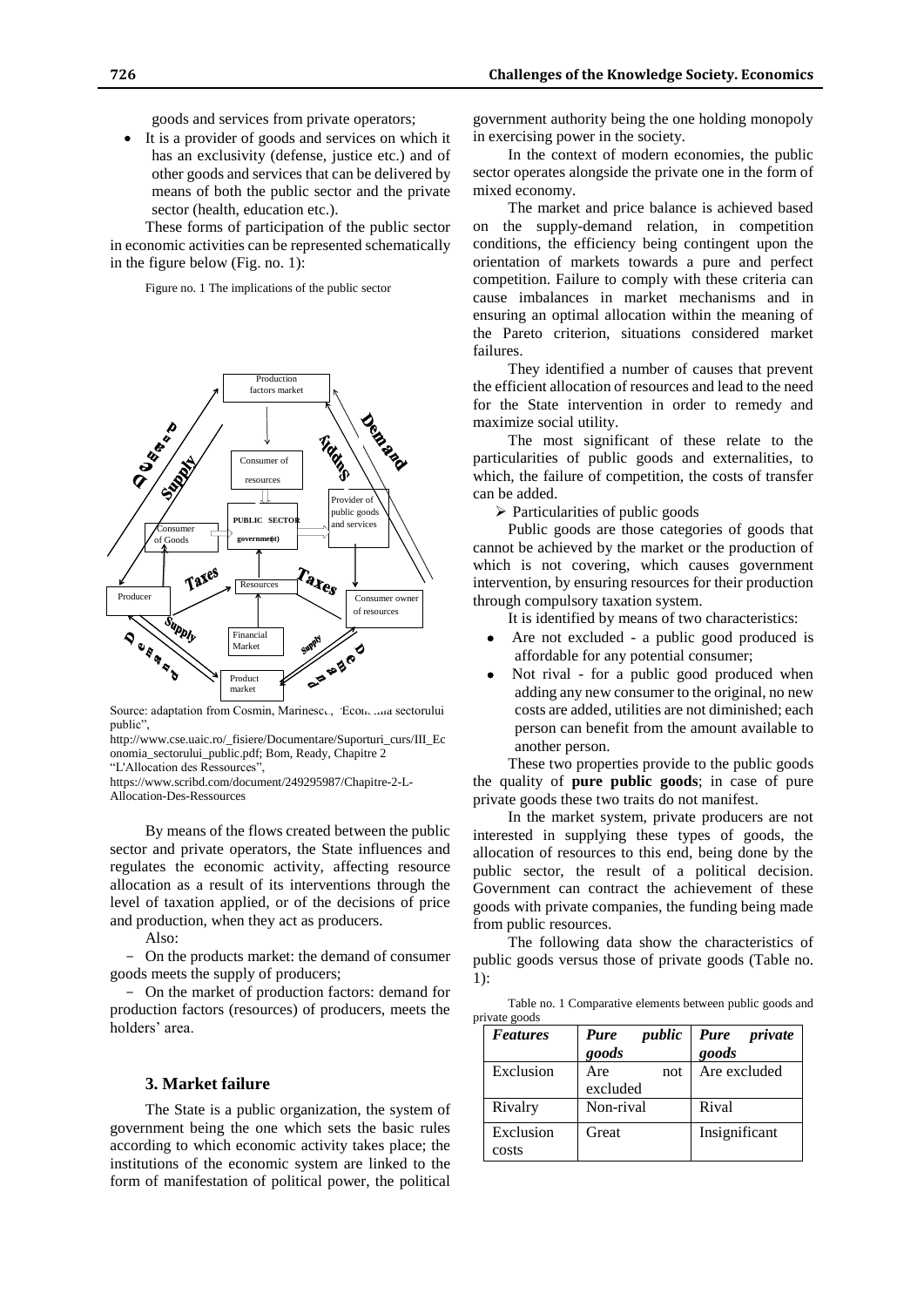goods and services from private operators;

 It is a provider of goods and services on which it has an exclusivity (defense, justice etc.) and of other goods and services that can be delivered by means of both the public sector and the private sector (health, education etc.).

These forms of participation of the public sector in economic activities can be represented schematically in the figure below (Fig. no. 1):

Figure no. 1 The implications of the public sector



Source: adaptation from Cosmin, Marinescu, "Economia sectorului public",

http://www.cse.uaic.ro/\_fisiere/Documentare/Suporturi\_curs/III\_Ec onomia\_sectorului\_public.pdf; Bom, Ready, Chapitre 2

"L'Allocation des Ressources",

https://www.scribd.com/document/249295987/Chapitre-2-L-Allocation-Des-Ressources

By means of the flows created between the public sector and private operators, the State influences and regulates the economic activity, affecting resource allocation as a result of its interventions through the level of taxation applied, or of the decisions of price and production, when they act as producers.

Also:

- On the products market: the demand of consumer goods meets the supply of producers;

- On the market of production factors: demand for production factors (resources) of producers, meets the holders' area.

#### **3. Market failure**

The State is a public organization, the system of government being the one which sets the basic rules according to which economic activity takes place; the institutions of the economic system are linked to the form of manifestation of political power, the political government authority being the one holding monopoly in exercising power in the society.

In the context of modern economies, the public sector operates alongside the private one in the form of mixed economy.

The market and price balance is achieved based on the supply-demand relation, in competition conditions, the efficiency being contingent upon the orientation of markets towards a pure and perfect competition. Failure to comply with these criteria can cause imbalances in market mechanisms and in ensuring an optimal allocation within the meaning of the Pareto criterion, situations considered market failures.

They identified a number of causes that prevent the efficient allocation of resources and lead to the need for the State intervention in order to remedy and maximize social utility.

The most significant of these relate to the particularities of public goods and externalities, to which, the failure of competition, the costs of transfer can be added.

 $\triangleright$  Particularities of public goods

Public goods are those categories of goods that cannot be achieved by the market or the production of which is not covering, which causes government intervention, by ensuring resources for their production through compulsory taxation system.

It is identified by means of two characteristics:

- Are not excluded a public good produced is affordable for any potential consumer;
- Not rival for a public good produced when adding any new consumer to the original, no new costs are added, utilities are not diminished; each person can benefit from the amount available to another person.

These two properties provide to the public goods the quality of **pure public goods**; in case of pure private goods these two traits do not manifest.

In the market system, private producers are not interested in supplying these types of goods, the allocation of resources to this end, being done by the public sector, the result of a political decision. Government can contract the achievement of these goods with private companies, the funding being made from public resources.

The following data show the characteristics of public goods versus those of private goods (Table no. 1):

Table no. 1 Comparative elements between public goods and private goods

| <b>Features</b> | public<br>Pure | Pure<br>private |
|-----------------|----------------|-----------------|
|                 | goods          | goods           |
| Exclusion       | Are<br>not     | Are excluded    |
|                 | excluded       |                 |
| Rivalry         | Non-rival      | Rival           |
| Exclusion       | Great          | Insignificant   |
| costs           |                |                 |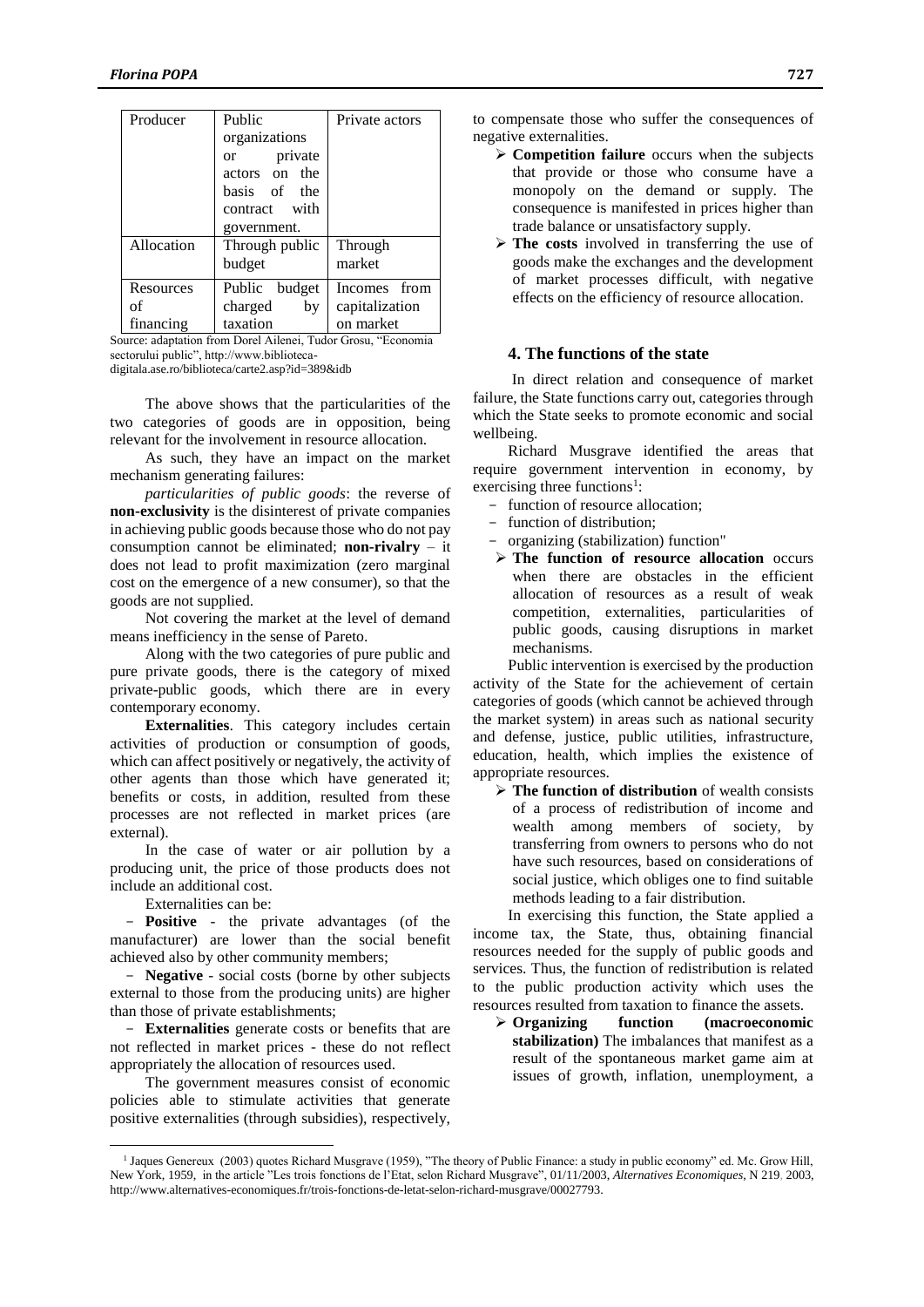| Producer   | Public                   | Private actors |
|------------|--------------------------|----------------|
|            | organizations            |                |
|            | private<br><sub>or</sub> |                |
|            | actors on the            |                |
|            | basis of the             |                |
|            | contract with            |                |
|            | government.              |                |
| Allocation | Through public           | Through        |
|            | budget                   | market         |
| Resources  | Public budget            | Incomes from   |
| of         | charged<br>bv            | capitalization |
| financing  | taxation                 | on market      |

Source: adaptation from Dorel Ailenei, Tudor Grosu, "Economia sectorului public", http://www.bibliotecadigitala.ase.ro/biblioteca/carte2.asp?id=389&idb

The above shows that the particularities of the two categories of goods are in opposition, being relevant for the involvement in resource allocation.

As such, they have an impact on the market mechanism generating failures:

*particularities of public goods*: the reverse of **non-exclusivity** is the disinterest of private companies in achieving public goods because those who do not pay consumption cannot be eliminated; **non-rivalry** – it does not lead to profit maximization (zero marginal cost on the emergence of a new consumer), so that the goods are not supplied.

Not covering the market at the level of demand means inefficiency in the sense of Pareto.

Along with the two categories of pure public and pure private goods, there is the category of mixed private-public goods, which there are in every contemporary economy.

**Externalities**. This category includes certain activities of production or consumption of goods, which can affect positively or negatively, the activity of other agents than those which have generated it; benefits or costs, in addition, resulted from these processes are not reflected in market prices (are external).

In the case of water or air pollution by a producing unit, the price of those products does not include an additional cost.

Externalities can be:

 $\overline{a}$ 

**Positive** - the private advantages (of the manufacturer) are lower than the social benefit achieved also by other community members;

- **Negative** - social costs (borne by other subjects external to those from the producing units) are higher than those of private establishments;

- **Externalities** generate costs or benefits that are not reflected in market prices - these do not reflect appropriately the allocation of resources used.

The government measures consist of economic policies able to stimulate activities that generate positive externalities (through subsidies), respectively, to compensate those who suffer the consequences of negative externalities.

- **Competition failure** occurs when the subjects that provide or those who consume have a monopoly on the demand or supply. The consequence is manifested in prices higher than trade balance or unsatisfactory supply.
- **The costs** involved in transferring the use of goods make the exchanges and the development of market processes difficult, with negative effects on the efficiency of resource allocation.

### **4. The functions of the state**

In direct relation and consequence of market failure, the State functions carry out, categories through which the State seeks to promote economic and social wellbeing.

Richard Musgrave identified the areas that require government intervention in economy, by exercising three functions<sup>1</sup>:

- function of resource allocation;
- function of distribution;
- organizing (stabilization) function"
- **The function of resource allocation** occurs when there are obstacles in the efficient allocation of resources as a result of weak competition, externalities, particularities of public goods, causing disruptions in market mechanisms.

Public intervention is exercised by the production activity of the State for the achievement of certain categories of goods (which cannot be achieved through the market system) in areas such as national security and defense, justice, public utilities, infrastructure, education, health, which implies the existence of appropriate resources.

 **The function of distribution** of wealth consists of a process of redistribution of income and wealth among members of society, by transferring from owners to persons who do not have such resources, based on considerations of social justice, which obliges one to find suitable methods leading to a fair distribution.

In exercising this function, the State applied a income tax, the State, thus, obtaining financial resources needed for the supply of public goods and services. Thus, the function of redistribution is related to the public production activity which uses the resources resulted from taxation to finance the assets.

 **Organizing function (macroeconomic stabilization)** The imbalances that manifest as a result of the spontaneous market game aim at issues of growth, inflation, unemployment, a

<sup>&</sup>lt;sup>1</sup> Jaques Genereux (2003) quotes Richard Musgrave (1959), "The theory of Public Finance: a study in public economy" ed. Mc. Grow Hill, New York, 1959, in the article "Les trois fonctions de l'Etat, selon Richard Musgrave", 01/11/2003, *Alternatives Economiques*, N 219, 2003, http://www.alternatives-economiques.fr/trois-fonctions-de-letat-selon-richard-musgrave/00027793.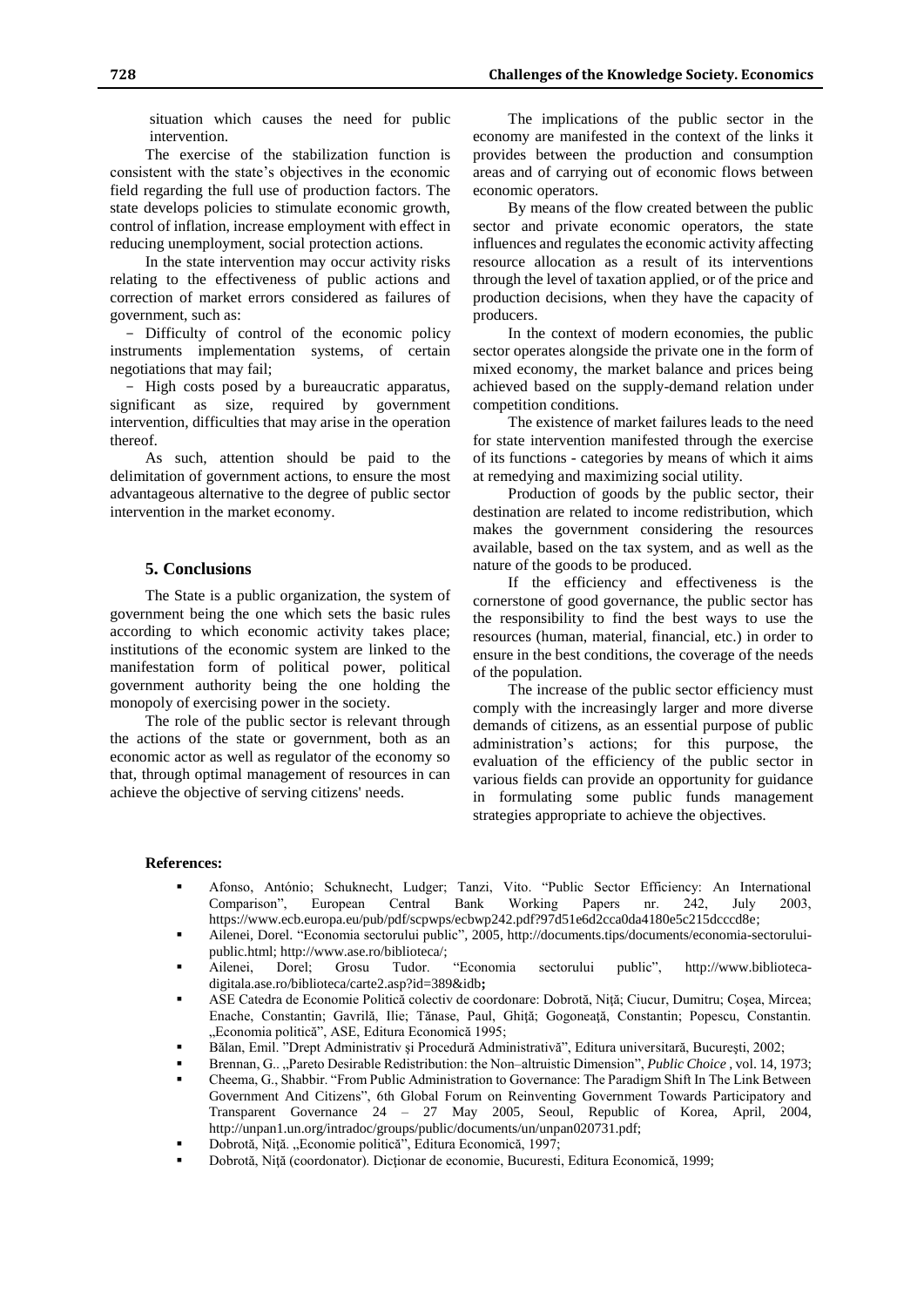situation which causes the need for public intervention.

The exercise of the stabilization function is consistent with the state's objectives in the economic field regarding the full use of production factors. The state develops policies to stimulate economic growth, control of inflation, increase employment with effect in reducing unemployment, social protection actions.

In the state intervention may occur activity risks relating to the effectiveness of public actions and correction of market errors considered as failures of government, such as:

- Difficulty of control of the economic policy instruments implementation systems, of certain negotiations that may fail;

- High costs posed by a bureaucratic apparatus, significant as size, required by government intervention, difficulties that may arise in the operation thereof.

As such, attention should be paid to the delimitation of government actions, to ensure the most advantageous alternative to the degree of public sector intervention in the market economy.

### **5. Conclusions**

The State is a public organization, the system of government being the one which sets the basic rules according to which economic activity takes place; institutions of the economic system are linked to the manifestation form of political power, political government authority being the one holding the monopoly of exercising power in the society.

The role of the public sector is relevant through the actions of the state or government, both as an economic actor as well as regulator of the economy so that, through optimal management of resources in can achieve the objective of serving citizens' needs.

The implications of the public sector in the economy are manifested in the context of the links it provides between the production and consumption areas and of carrying out of economic flows between economic operators.

By means of the flow created between the public sector and private economic operators, the state influences and regulates the economic activity affecting resource allocation as a result of its interventions through the level of taxation applied, or of the price and production decisions, when they have the capacity of producers.

In the context of modern economies, the public sector operates alongside the private one in the form of mixed economy, the market balance and prices being achieved based on the supply-demand relation under competition conditions.

The existence of market failures leads to the need for state intervention manifested through the exercise of its functions - categories by means of which it aims at remedying and maximizing social utility.

Production of goods by the public sector, their destination are related to income redistribution, which makes the government considering the resources available, based on the tax system, and as well as the nature of the goods to be produced.

If the efficiency and effectiveness is the cornerstone of good governance, the public sector has the responsibility to find the best ways to use the resources (human, material, financial, etc.) in order to ensure in the best conditions, the coverage of the needs of the population.

The increase of the public sector efficiency must comply with the increasingly larger and more diverse demands of citizens, as an essential purpose of public administration's actions; for this purpose, the evaluation of the efficiency of the public sector in various fields can provide an opportunity for guidance in formulating some public funds management strategies appropriate to achieve the objectives.

#### **References:**

- Afonso, António; Schuknecht, Ludger; Tanzi, Vito. "Public Sector Efficiency: An International Comparison", European Central Bank Working Papers nr. 242, July 2003, https://www.ecb.europa.eu/pub/pdf/scpwps/ecbwp242.pdf?97d51e6d2cca0da4180e5c215dcccd8e;
- Ailenei*,* Dorel. "Economia sectorului public"*,* 2005*,* http://documents.tips/documents/economia-sectoruluipublic.html; http://www.ase.ro/biblioteca/;
- Ailenei, Dorel; Grosu Tudor. "Economia sectorului public", http://www.bibliotecadigitala.ase.ro/biblioteca/carte2.asp?id=389&idb**;**
- ASE Catedra de Economie Politică colectiv de coordonare: Dobrotă, Niţă; Ciucur, Dumitru; Coşea, Mircea; Enache, Constantin; Gavrilă, Ilie; Tănase, Paul, Ghiţă; Gogoneaţă, Constantin; Popescu, Constantin. "Economia politică", ASE, Editura Economică 1995;
- Bălan, Emil. "Drept Administrativ şi Procedură Administrativă", Editura universitară, Bucureşti, 2002;
- Brennan, G.. "Pareto Desirable Redistribution: the Non-altruistic Dimension", *Public Choice*, vol. 14, 1973;
- Cheema, G., Shabbir. "From Public Administration to Governance: The Paradigm Shift In The Link Between Government And Citizens", 6th Global Forum on Reinventing Government Towards Participatory and Transparent Governance 24 – 27 May 2005, Seoul, Republic of Korea, April, 2004, http://unpan1.un.org/intradoc/groups/public/documents/un/unpan020731.pdf;
- Dobrotă, Niță. "Economie politică", Editura Economică, 1997;
- Dobrotă, Niţă (coordonator). Dicţionar de economie, Bucuresti, Editura Economică, 1999;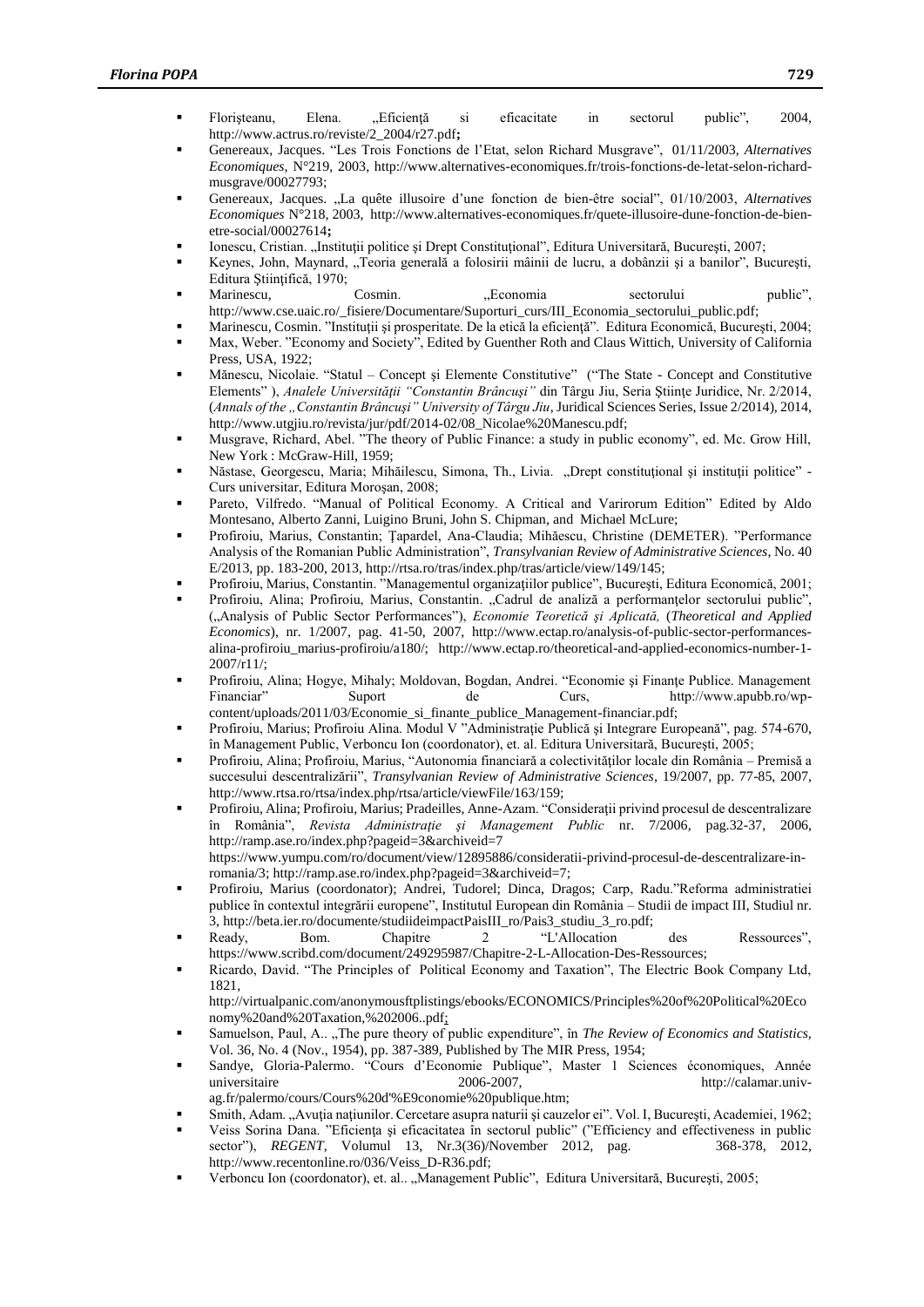- Florişteanu, Elena. "Eficienţă si eficacitate in sectorul public", 2004, http://www.actrus.ro/reviste/2\_2004/r27.pdf**;**
- Genereaux, Jacques. "Les Trois Fonctions de l'Etat, selon Richard Musgrave", 01/11/2003, *Alternatives Economiques*, N°219, 2003, http://www.alternatives-economiques.fr/trois-fonctions-de-letat-selon-richardmusgrave/00027793;
- Genereaux, Jacques. "La quête illusoire d'une fonction de bien-être social", 01/10/2003, Alternatives *Economiques* N°218, 2003, http://www.alternatives-economiques.fr/quete-illusoire-dune-fonction-de-bienetre-social/00027614**;**
- Ionescu, Cristian. "Instituții politice și Drept Constituțional", Editura Universitară, București, 2007;
- Keynes, John, Maynard, "Teoria generală a folosirii mâinii de lucru, a dobânzii și a banilor", București, Editura Ştiinţifică, 1970;
- **Marinescu, Cosmin.** , Beonomia sectorului public", public", [http://www.cse.uaic.ro/\\_fisiere/Documentare/Suporturi\\_curs/III\\_Economia\\_sectorului\\_public.pdf;](http://www.cse.uaic.ro/_fisiere/Documentare/Suporturi_curs/III_Economia_sectorului_public.pdf)
- Marinescu, Cosmin. "Instituţii şi prosperitate. De la etică la eficienţă". Editura Economică, Bucureşti, 2004;
- Max, Weber. "Economy and Society", Edited by Guenther Roth and Claus Wittich, University of California Press, USA, 1922;
- Mănescu, Nicolaie. "Statul Concept şi Elemente Constitutive" ("The State Concept and Constitutive Elements" ), *Analele Universităţii "Constantin Brâncuşi"* din Târgu Jiu, Seria Ştiinţe Juridice, Nr. 2/2014, (*Annals of the "Constantin Brâncuşi" University of Târgu Jiu*, Juridical Sciences Series, Issue 2/2014), 2014, http://www.utgjiu.ro/revista/jur/pdf/2014-02/08\_Nicolae%20Manescu.pdf;
- Musgrave, Richard, Abel. "The theory of Public Finance: a study in public economy", ed. Mc. Grow Hill, New York : McGraw-Hill, 1959;
- Năstase, Georgescu, Maria; Mihăilescu, Simona, Th., Livia. "Drept constituțional și instituții politice" -Curs universitar, Editura Moroşan, 2008;
- Pareto, Vilfredo. "Manual of Political Economy. A Critical and Varirorum Edition" Edited by Aldo Montesano, Alberto Zanni, Luigino Bruni, John S. Chipman, and Michael McLure;
- Profiroiu, Marius, Constantin; Ţapardel, Ana-Claudia; Mihăescu, Christine (DEMETER). "Performance Analysis of the Romanian Public Administration", *Transylvanian Review of Administrative Sciences*, No. 40 E/2013, pp. 183-200, 2013, http://rtsa.ro/tras/index.php/tras/article/view/149/145;
- Profiroiu, Marius, Constantin. "Managementul organizaţiilor publice", Bucureşti, Editura Economică, 2001;
- Profiroiu, Alina; Profiroiu, Marius, Constantin. "Cadrul de analiză a performanțelor sectorului public", ("Analysis of Public Sector Performances"), *Economie Teoretică şi Aplicată,* (*Theoretical and Applied Economics*), nr. 1/2007, pag. 41-50, 2007, http://www.ectap.ro/analysis-of-public-sector-performancesalina-profiroiu\_marius-profiroiu/a180/; http://www.ectap.ro/theoretical-and-applied-economics-number-1- 2007/r11/;
- Profiroiu, Alina; Hogye, Mihaly; Moldovan, Bogdan, Andrei. "Economie şi Finanţe Publice. Management Financiar" Suport de Curs, http://www.apubb.ro/wpcontent/uploads/2011/03/Economie\_si\_finante\_publice\_Management-financiar.pdf;
- Profiroiu, Marius; Profiroiu Alina. Modul V "Administrație Publică și Integrare Europeană", pag. 574-670, în Management Public, Verboncu Ion (coordonator), et. al. Editura Universitară, Bucureşti, 2005;
- Profiroiu, Alina; Profiroiu, Marius, "Autonomia financiară a colectivităţilor locale din România Premisă a succesului descentralizării", *Transylvanian Review of Administrative Sciences*, 19/2007, pp. 77-85, 2007, http://www.rtsa.ro/rtsa/index.php/rtsa/article/viewFile/163/159;
- Profiroiu, Alina; Profiroiu, Marius; Pradeilles, Anne-Azam. "Consideraţii privind procesul de descentralizare în România", *Revista Administraţie şi Management Public* nr. 7/2006, pag.32-37, 2006, http://ramp.ase.ro/index.php?pageid=3&archiveid=7 https://www.yumpu.com/ro/document/view/12895886/consideratii-privind-procesul-de-descentralizare-in-
- romania/3; http://ramp.ase.ro/index.php?pageid=3&archiveid=7; Profiroiu, Marius (coordonator); Andrei, Tudorel; Dinca, Dragos; Carp, Radu."Reforma administratiei publice în contextul integrării europene", Institutul European din România – Studii de impact III, Studiul nr. 3, http://beta.ier.ro/documente/studiideimpactPaisIII\_ro/Pais3\_studiu\_3\_ro.pdf;
- Ready, Bom. Chapitre 2 "L'Allocation des Ressources", https://www.scribd.com/document/249295987/Chapitre-2-L-Allocation-Des-Ressources;
- Ricardo, David. "The Principles of Political Economy and Taxation", The Electric Book Company Ltd, 1821, http://virtualpanic.com/anonymousftplistings/ebooks/ECONOMICS/Principles%20of%20Political%20Eco
- nomy%20and%20Taxation,%202006..pdf; Samuelson, Paul, A.. "The pure theory of public expenditure", în *The Review of Economics and Statistics*, Vol. 36, No. 4 (Nov., 1954), pp. 387-389, Published by The MIR Press, 1954;
- Sandye, Gloria-Palermo. "Cours d'Economie Publique", Master 1 Sciences économiques, Année universitaire 2006-2007, http://calamar.univag.fr/palermo/cours/Cours%20d'%E9conomie%20publique.htm;
- Smith, Adam. "Avuția națiunilor. Cercetare asupra naturii și cauzelor ei". Vol. I, București, Academiei, 1962;
- Veiss Sorina Dana. "Eficiența și eficacitatea în sectorul public" ("Efficiency and effectiveness in public sector"), REGENT, Volumul 13, Nr.3(36)/November 2012, pag. 368-378. 2012. sector"), *REGENT*, Volumul 13, Nr.3(36)/November 2012, pag. http://www.recentonline.ro/036/Veiss\_D-R36.pdf;
- Verboncu Ion (coordonator), et. al.. "Management Public", Editura Universitară, Bucureşti, 2005;